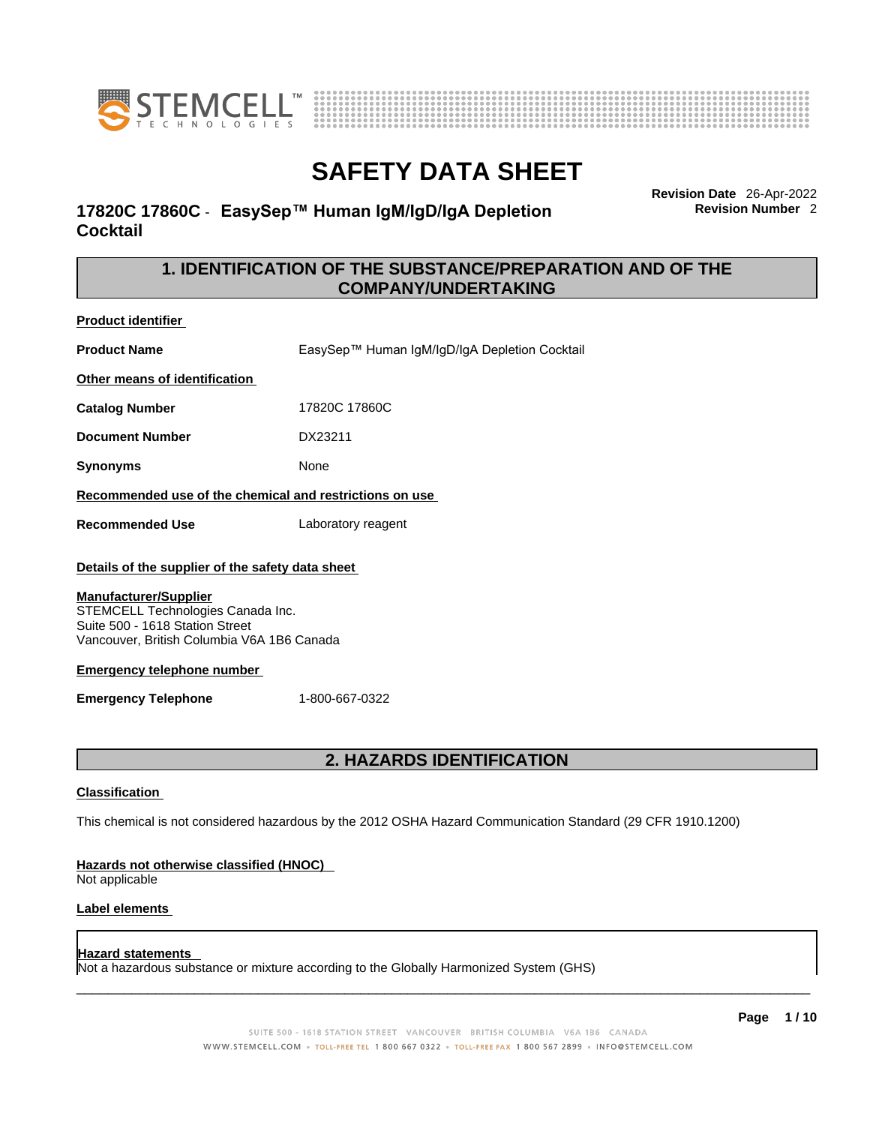



# **17820C 17860C** - **EasySep™ Human IgM/IgD/IgA Depletion Cocktail**

**Revision Date** 26-Apr-2022 **Revision Number** 2

# **1. IDENTIFICATION OF THE SUBSTANCE/PREPARATION AND OF THE COMPANY/UNDERTAKING**

**Product identifier**

**Product Name** EasySep™ Human IgM/IgD/IgA Depletion Cocktail **Other means of identification Catalog Number** 17820C 17860C

**Document Number** DX23211

**Synonyms** None

**Recommended use of the chemical and restrictions on use**

**Recommended Use** Laboratory reagent

### **Details of the supplier of the safety data sheet**

#### **Manufacturer/Supplier**

STEMCELL Technologies Canada Inc. Suite 500 - 1618 Station Street Vancouver, British Columbia V6A 1B6 Canada

#### **Emergency telephone number**

**Emergency Telephone** 1-800-667-0322

# **2. HAZARDS IDENTIFICATION**

#### **Classification**

This chemical is not considered hazardous by the 2012 OSHA Hazard Communication Standard (29 CFR 1910.1200)

#### **Hazards not otherwise classified (HNOC)**

Not applicable

### **Label elements**

### **Hazard statements**

Not a hazardous substance or mixture according to the Globally Harmonized System (GHS)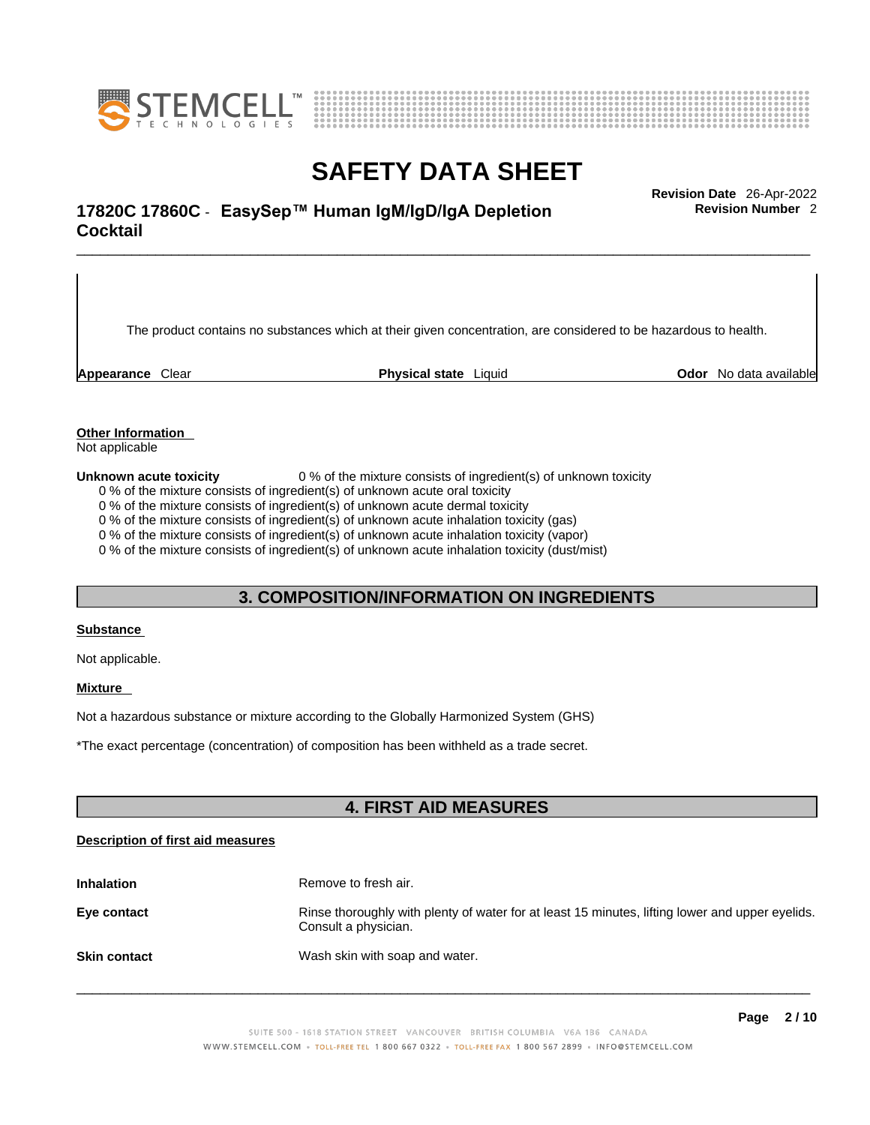



# \_\_\_\_\_\_\_\_\_\_\_\_\_\_\_\_\_\_\_\_\_\_\_\_\_\_\_\_\_\_\_\_\_\_\_\_\_\_\_\_\_\_\_\_\_\_\_\_\_\_\_\_\_\_\_\_\_\_\_\_\_\_\_\_\_\_\_\_\_\_\_\_\_\_\_\_\_\_\_\_\_\_\_\_\_\_\_\_\_\_\_\_\_ **Revision Date** 26-Apr-2022 **17820C 17860C** - **EasySep™ Human IgM/IgD/IgA Depletion Cocktail**

The product contains no substances which at their given concentration, are considered to be hazardous to health.

**Appearance** Clear **Physical state** Liquid **Odor** No data available

**Revision Number** 2

**Other Information** 

Not applicable

**Unknown acute toxicity** 0 % of the mixture consists of ingredient(s) of unknown toxicity

0 % of the mixture consists of ingredient(s) of unknown acute oral toxicity

0 % of the mixture consists of ingredient(s) of unknown acute dermal toxicity

0 % of the mixture consists of ingredient(s) of unknown acute inhalation toxicity (gas)

0 % of the mixture consists of ingredient(s) of unknown acute inhalation toxicity (vapor)

0 % of the mixture consists of ingredient(s) of unknown acute inhalation toxicity (dust/mist)

### **3. COMPOSITION/INFORMATION ON INGREDIENTS**

#### **Substance**

Not applicable.

### **Mixture**

Not a hazardous substance or mixture according to the Globally Harmonized System (GHS)

\*The exact percentage (concentration) ofcomposition has been withheld as a trade secret.

### **4. FIRST AID MEASURES**

#### **Description of first aid measures**

| <b>Inhalation</b>   | Remove to fresh air.                                                                                                    |
|---------------------|-------------------------------------------------------------------------------------------------------------------------|
| Eye contact         | Rinse thoroughly with plenty of water for at least 15 minutes, lifting lower and upper eyelids.<br>Consult a physician. |
| <b>Skin contact</b> | Wash skin with soap and water.                                                                                          |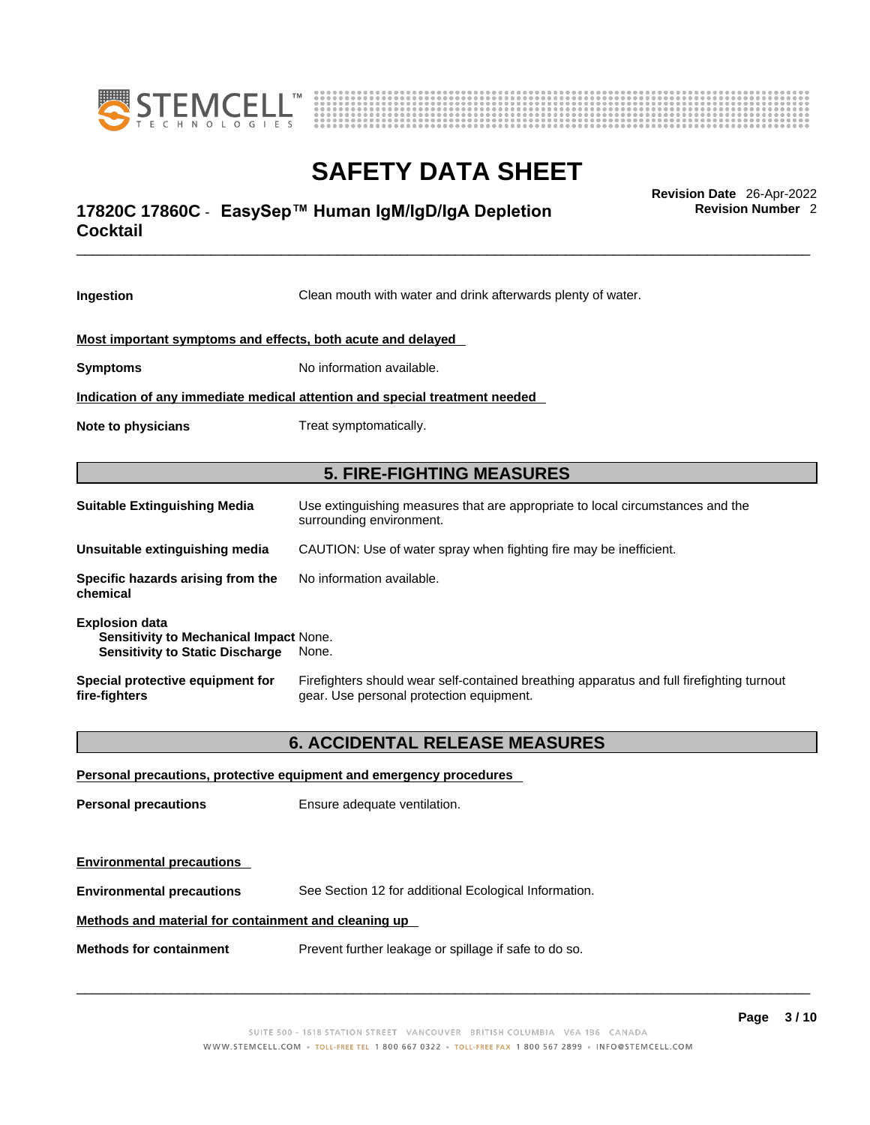



# \_\_\_\_\_\_\_\_\_\_\_\_\_\_\_\_\_\_\_\_\_\_\_\_\_\_\_\_\_\_\_\_\_\_\_\_\_\_\_\_\_\_\_\_\_\_\_\_\_\_\_\_\_\_\_\_\_\_\_\_\_\_\_\_\_\_\_\_\_\_\_\_\_\_\_\_\_\_\_\_\_\_\_\_\_\_\_\_\_\_\_\_\_ **Revision Date** 26-Apr-2022 **17820C 17860C** - **EasySep™ Human IgM/IgD/IgA Depletion Cocktail**

**Revision Number** 2

| Ingestion                                                                                                 | Clean mouth with water and drink afterwards plenty of water.                                                                          |  |
|-----------------------------------------------------------------------------------------------------------|---------------------------------------------------------------------------------------------------------------------------------------|--|
| Most important symptoms and effects, both acute and delayed                                               |                                                                                                                                       |  |
| <b>Symptoms</b>                                                                                           | No information available.                                                                                                             |  |
|                                                                                                           | Indication of any immediate medical attention and special treatment needed                                                            |  |
| Note to physicians                                                                                        | Treat symptomatically.                                                                                                                |  |
|                                                                                                           | <b>5. FIRE-FIGHTING MEASURES</b>                                                                                                      |  |
| <b>Suitable Extinguishing Media</b>                                                                       | Use extinguishing measures that are appropriate to local circumstances and the<br>surrounding environment.                            |  |
| Unsuitable extinguishing media                                                                            | CAUTION: Use of water spray when fighting fire may be inefficient.                                                                    |  |
| Specific hazards arising from the<br>chemical                                                             | No information available.                                                                                                             |  |
| <b>Explosion data</b><br>Sensitivity to Mechanical Impact None.<br><b>Sensitivity to Static Discharge</b> | None.                                                                                                                                 |  |
| Special protective equipment for<br>fire-fighters                                                         | Firefighters should wear self-contained breathing apparatus and full firefighting turnout<br>gear. Use personal protection equipment. |  |
|                                                                                                           | <b>6. ACCIDENTAL RELEASE MEASURES</b>                                                                                                 |  |
|                                                                                                           | Personal precautions, protective equipment and emergency procedures                                                                   |  |
| <b>Personal precautions</b>                                                                               | Ensure adequate ventilation.                                                                                                          |  |
| <b>Environmental precautions</b>                                                                          |                                                                                                                                       |  |
| <b>Environmental precautions</b>                                                                          | See Section 12 for additional Ecological Information.                                                                                 |  |
| Methods and material for containment and cleaning up                                                      |                                                                                                                                       |  |
| <b>Methods for containment</b>                                                                            | Prevent further leakage or spillage if safe to do so.                                                                                 |  |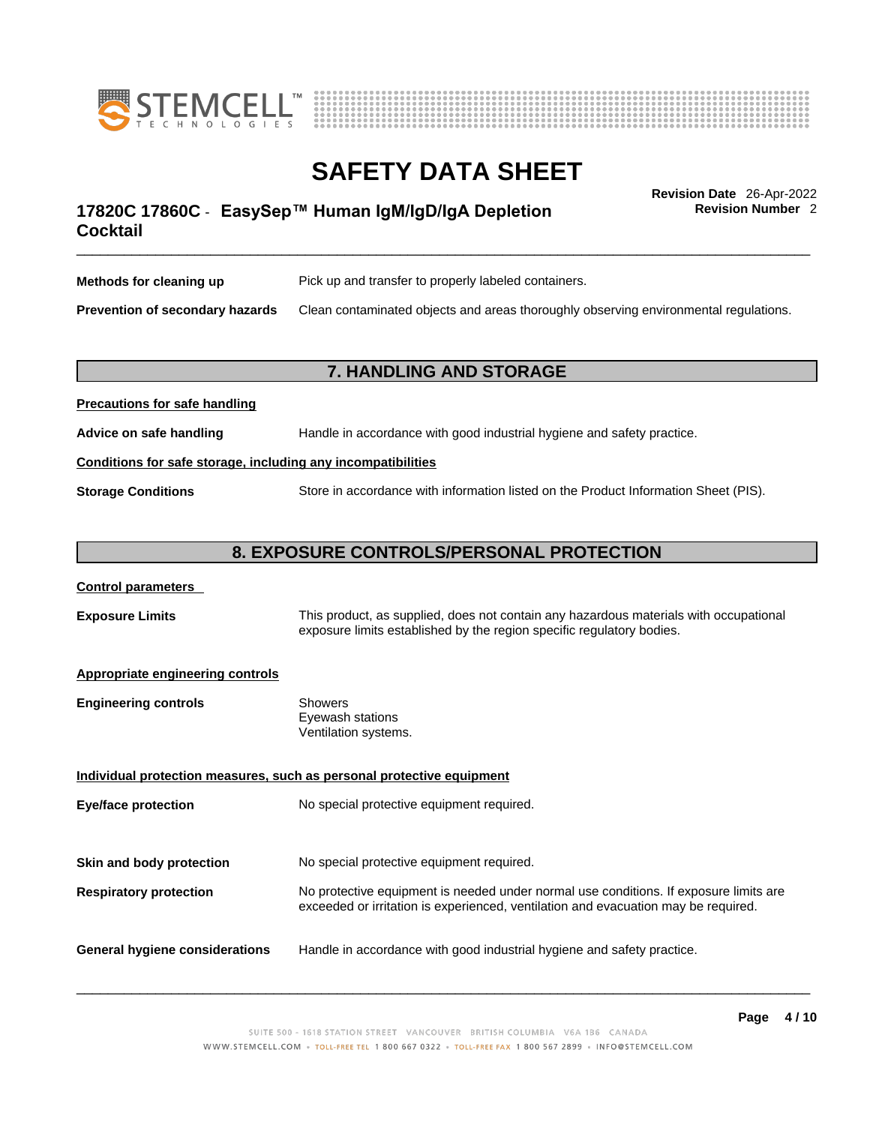



**Revision Number** 2

# \_\_\_\_\_\_\_\_\_\_\_\_\_\_\_\_\_\_\_\_\_\_\_\_\_\_\_\_\_\_\_\_\_\_\_\_\_\_\_\_\_\_\_\_\_\_\_\_\_\_\_\_\_\_\_\_\_\_\_\_\_\_\_\_\_\_\_\_\_\_\_\_\_\_\_\_\_\_\_\_\_\_\_\_\_\_\_\_\_\_\_\_\_ **Revision Date** 26-Apr-2022 **17820C 17860C** - **EasySep™ Human IgM/IgD/IgA Depletion Cocktail**

| Methods for cleaning up                | Pick up and transfer to properly labeled containers.                                 |
|----------------------------------------|--------------------------------------------------------------------------------------|
| <b>Prevention of secondary hazards</b> | Clean contaminated objects and areas thoroughly observing environmental regulations. |

### **7. HANDLING AND STORAGE**

| Advice on safe handling   | Handle in accordance with good industrial hygiene and safety practice.              |
|---------------------------|-------------------------------------------------------------------------------------|
|                           | Conditions for safe storage, including any incompatibilities                        |
| <b>Storage Conditions</b> | Store in accordance with information listed on the Product Information Sheet (PIS). |

### **8. EXPOSURE CONTROLS/PERSONAL PROTECTION**

#### **Control parameters**

**Precautions for safe handling**

**Exposure Limits** This product, as supplied, does not contain any hazardous materials with occupational exposure limits established by the region specific regulatory bodies.

#### **Appropriate engineering controls**

| <b>Engineering controls</b> | Showers              |
|-----------------------------|----------------------|
|                             | Eyewash stations     |
|                             | Ventilation systems. |

**Individual protection measures, such as personal protective equipment Eye/face protection** No special protective equipment required. **Skin and body protection** No special protective equipment required. **Respiratory protection** No protective equipment is needed under normal use conditions. If exposure limits are exceeded or irritation is experienced, ventilation and evacuation may be required. **General hygiene considerations** Handle in accordance with good industrial hygiene and safety practice.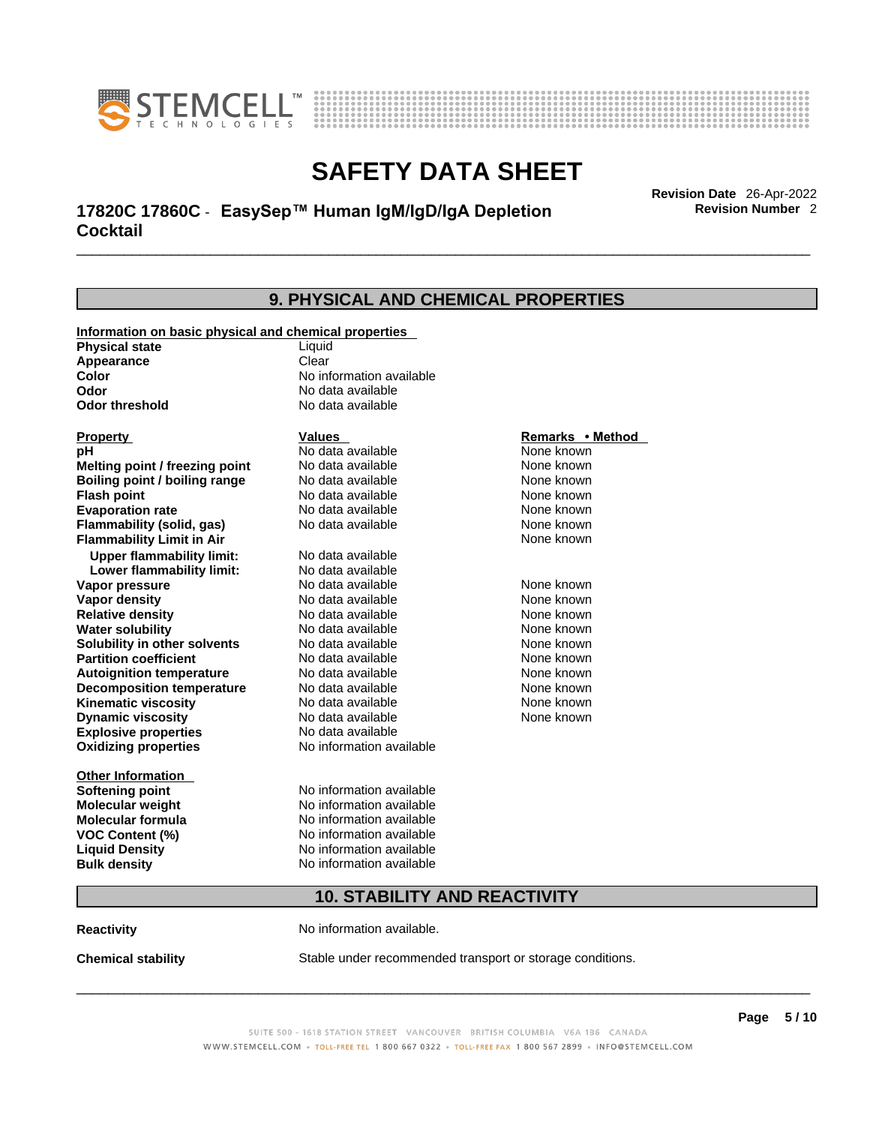



# \_\_\_\_\_\_\_\_\_\_\_\_\_\_\_\_\_\_\_\_\_\_\_\_\_\_\_\_\_\_\_\_\_\_\_\_\_\_\_\_\_\_\_\_\_\_\_\_\_\_\_\_\_\_\_\_\_\_\_\_\_\_\_\_\_\_\_\_\_\_\_\_\_\_\_\_\_\_\_\_\_\_\_\_\_\_\_\_\_\_\_\_\_ **Revision Date** 26-Apr-2022 **17820C 17860C** - **EasySep™ Human IgM/IgD/IgA Depletion Cocktail**

**9. PHYSICAL AND CHEMICAL PROPERTIES Information on basic physical and chemical properties Physical state** Liquid **Appearance** Clear<br> **Color** No int **Color Color Color Color Color Color Color No** data available **Odor Odor Constanting Codor Constanting Codor Codor Codor Codor Codor Codor Codor Codor Codor Codor Codor Codor Codor Codor Codor Codor Codor Codor Codor Codor Codor Codor Codor No data available Explosive properties** No data available **Oxidizing properties** No information available **Other Information Softening point** No information available **Molecular weight** No information available **Molecular formula** No information available<br>**VOC Content (%)** No information available **VOC Content (%) Liquid Density** No information available **Bulk density No information available 10. STABILITY AND REACTIVITY Property CONSCRUTE IN THE VALUES REMARKS • Method pH** No data available None known **Melting point / freezing point Boiling point / boiling range Modata available None known None known Flash point Communist Communist Communist Communist Communist Communist Communist Communist Communist Communist Communist Communist Communist Communist Communist Communist Communist Communist Communist Communist Communi Evaporation rate Reserve All No data available Mone known** None known **Flammability (solid, gas)** No data available None known **Flammability Limit in Air** None known **Upper flammability limit:** No data available **Lower flammability limit:** No data available **Vapor pressure No data available None known Vapor density No data available None known Relative density No data available None known** None known **Water solubility No data available** Mome known<br> **Solubility in other solvents** No data available **None known**<br>
None known **Solubility in other solvents** No data available **None known**<br> **Partition coefficient** No data available None known **Partition coefficient**<br> **Autoignition temperature**<br>
No data available **Autoignition temperature No data available None known**<br> **Decomposition temperature** No data available **None known**<br>
None known **Decomposition temperature** No data available None known<br> **Kinematic viscosity** No data available None known **Kinematic viscosity** No data available<br> **Dynamic viscosity** No data available **Dynamic viscosity** None known

**Reactivity No information available.** 

**Chemical stability** Stable under recommended transport or storage conditions.

 $\_$  ,  $\_$  ,  $\_$  ,  $\_$  ,  $\_$  ,  $\_$  ,  $\_$  ,  $\_$  ,  $\_$  ,  $\_$  ,  $\_$  ,  $\_$  ,  $\_$  ,  $\_$  ,  $\_$  ,  $\_$  ,  $\_$  ,  $\_$  ,  $\_$  ,  $\_$  ,  $\_$  ,  $\_$  ,  $\_$  ,  $\_$  ,  $\_$  ,  $\_$  ,  $\_$  ,  $\_$  ,  $\_$  ,  $\_$  ,  $\_$  ,  $\_$  ,  $\_$  ,  $\_$  ,  $\_$  ,  $\_$  ,  $\_$  ,

**Revision Number** 2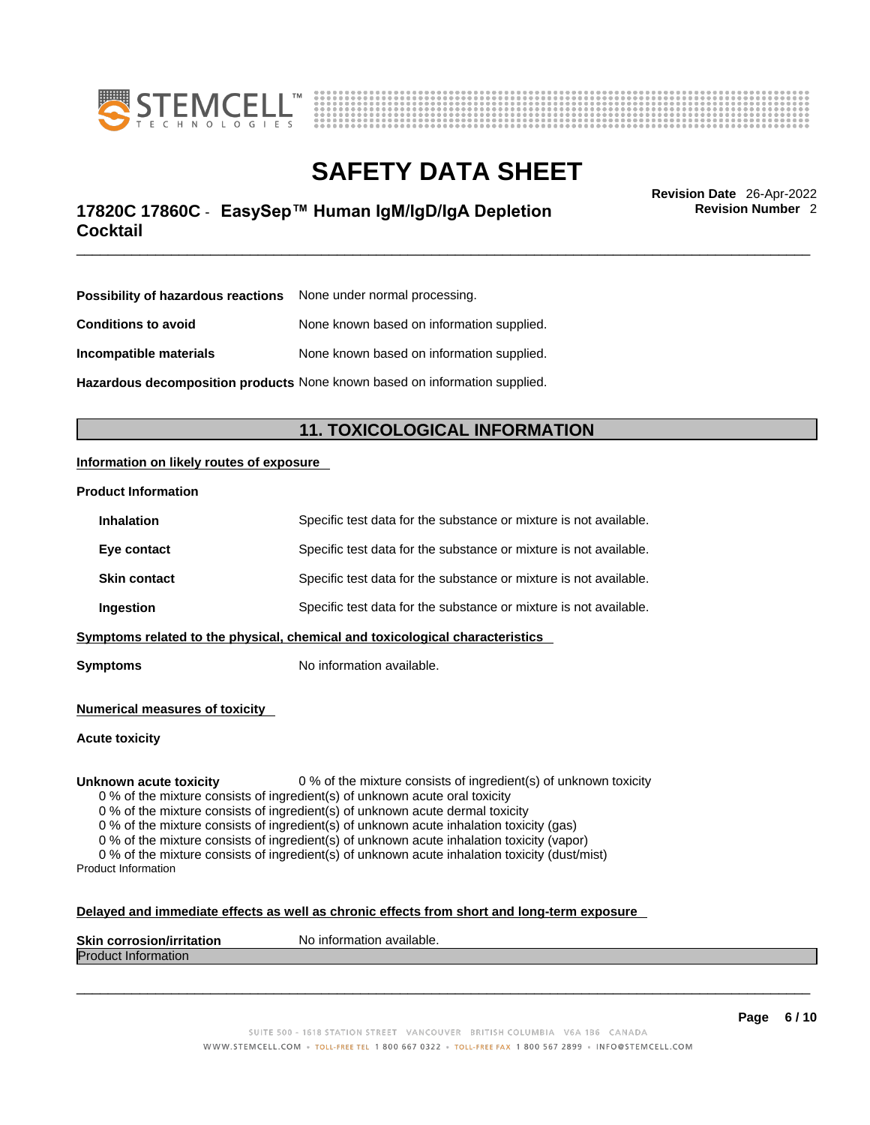



# \_\_\_\_\_\_\_\_\_\_\_\_\_\_\_\_\_\_\_\_\_\_\_\_\_\_\_\_\_\_\_\_\_\_\_\_\_\_\_\_\_\_\_\_\_\_\_\_\_\_\_\_\_\_\_\_\_\_\_\_\_\_\_\_\_\_\_\_\_\_\_\_\_\_\_\_\_\_\_\_\_\_\_\_\_\_\_\_\_\_\_\_\_ **Revision Date** 26-Apr-2022 **17820C 17860C** - **EasySep™ Human IgM/IgD/IgA Depletion Cocktail**

**Revision Number** 2

| <b>Possibility of hazardous reactions</b> None under normal processing.    |                                           |
|----------------------------------------------------------------------------|-------------------------------------------|
| <b>Conditions to avoid</b>                                                 | None known based on information supplied. |
| Incompatible materials                                                     | None known based on information supplied. |
| Hazardous decomposition products None known based on information supplied. |                                           |

# **11. TOXICOLOGICAL INFORMATION**

### **Information on likely routes of exposure**

#### **Product Information**

|                                                                                | <b>Inhalation</b>   | Specific test data for the substance or mixture is not available. |
|--------------------------------------------------------------------------------|---------------------|-------------------------------------------------------------------|
|                                                                                | Eye contact         | Specific test data for the substance or mixture is not available. |
|                                                                                | <b>Skin contact</b> | Specific test data for the substance or mixture is not available. |
| Specific test data for the substance or mixture is not available.<br>Ingestion |                     |                                                                   |
| Symptoms related to the physical, chemical and toxicological characteristics   |                     |                                                                   |

**Symptoms** No information available.

**Numerical measures of toxicity**

**Acute toxicity**

**Unknown acute toxicity** 0 % of the mixture consists of ingredient(s) of unknown toxicity

0 % of the mixture consists of ingredient(s) of unknown acute oral toxicity

0 % of the mixture consists of ingredient(s) of unknown acute dermal toxicity

0 % of the mixture consists of ingredient(s) of unknown acute inhalation toxicity (gas)

0 % of the mixture consists of ingredient(s) of unknown acute inhalation toxicity (vapor)

0 % of the mixture consists of ingredient(s) of unknown acute inhalation toxicity (dust/mist) Product Information

#### **Delayed and immediate effects as well as chronic effects from short and long-term exposure**

| <b>Skin corrosion/irritation</b> | No information available. |
|----------------------------------|---------------------------|
| Prod<br>mauon                    |                           |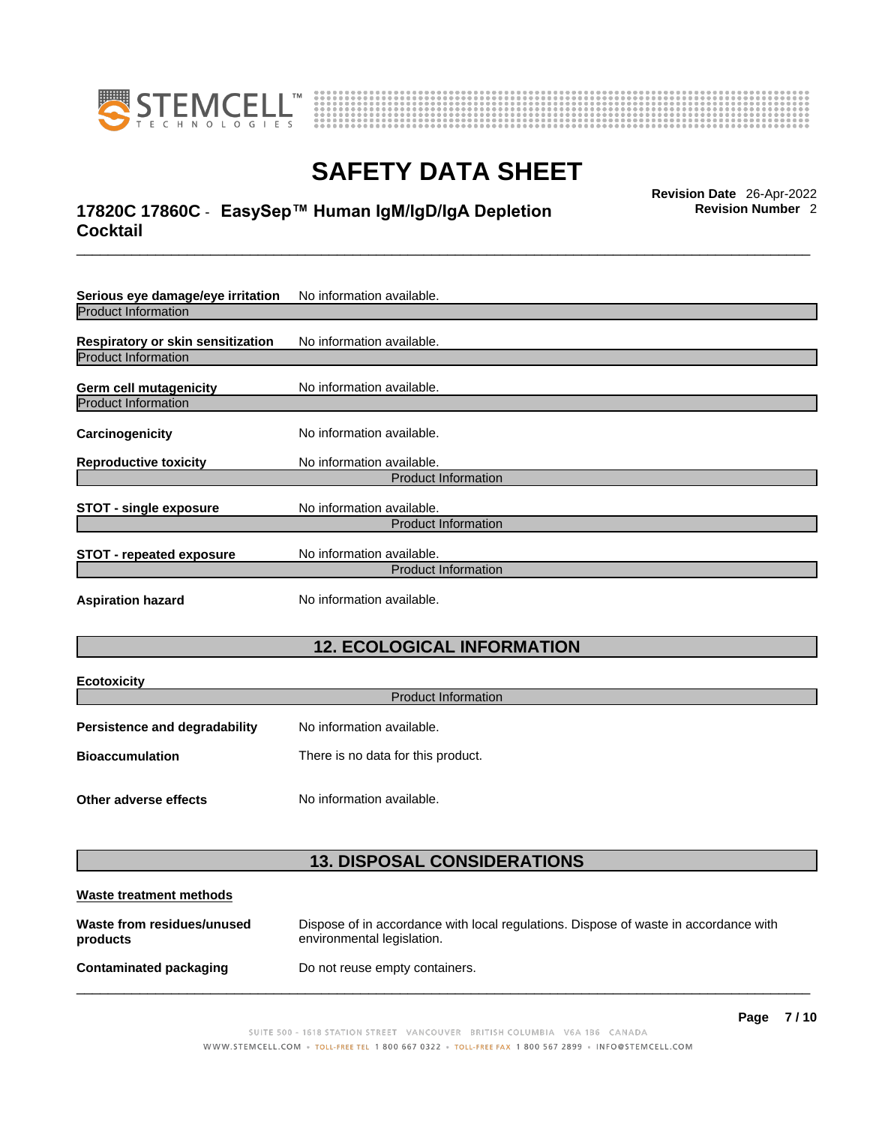



# \_\_\_\_\_\_\_\_\_\_\_\_\_\_\_\_\_\_\_\_\_\_\_\_\_\_\_\_\_\_\_\_\_\_\_\_\_\_\_\_\_\_\_\_\_\_\_\_\_\_\_\_\_\_\_\_\_\_\_\_\_\_\_\_\_\_\_\_\_\_\_\_\_\_\_\_\_\_\_\_\_\_\_\_\_\_\_\_\_\_\_\_\_ **Revision Date** 26-Apr-2022 **17820C 17860C** - **EasySep™ Human IgM/IgD/IgA Depletion Cocktail**

**Serious eye damage/eye irritation** No information available. Product Information **Respiratory or skin sensitization** No information available. Product Information **Germ cell mutagenicity** No information available. Product Information **Carcinogenicity** No information available. **Reproductive toxicity** No information available. Product Information **STOT** - single exposure<br>
No information available. Product Information **STOT** - **repeated exposure** No information available. Product Information **Aspiration hazard** No information available.

# **12. ECOLOGICAL INFORMATION**

| <b>Ecotoxicity</b>                   |                                    |  |
|--------------------------------------|------------------------------------|--|
| <b>Product Information</b>           |                                    |  |
| <b>Persistence and degradability</b> | No information available.          |  |
| <b>Bioaccumulation</b>               | There is no data for this product. |  |
|                                      |                                    |  |
| Other adverse effects                | No information available.          |  |

# **13. DISPOSAL CONSIDERATIONS**

| Waste treatment methods                |                                                                                                                    |
|----------------------------------------|--------------------------------------------------------------------------------------------------------------------|
| Waste from residues/unused<br>products | Dispose of in accordance with local regulations. Dispose of waste in accordance with<br>environmental legislation. |
| Contaminated packaging                 | Do not reuse empty containers.                                                                                     |

**Revision Number** 2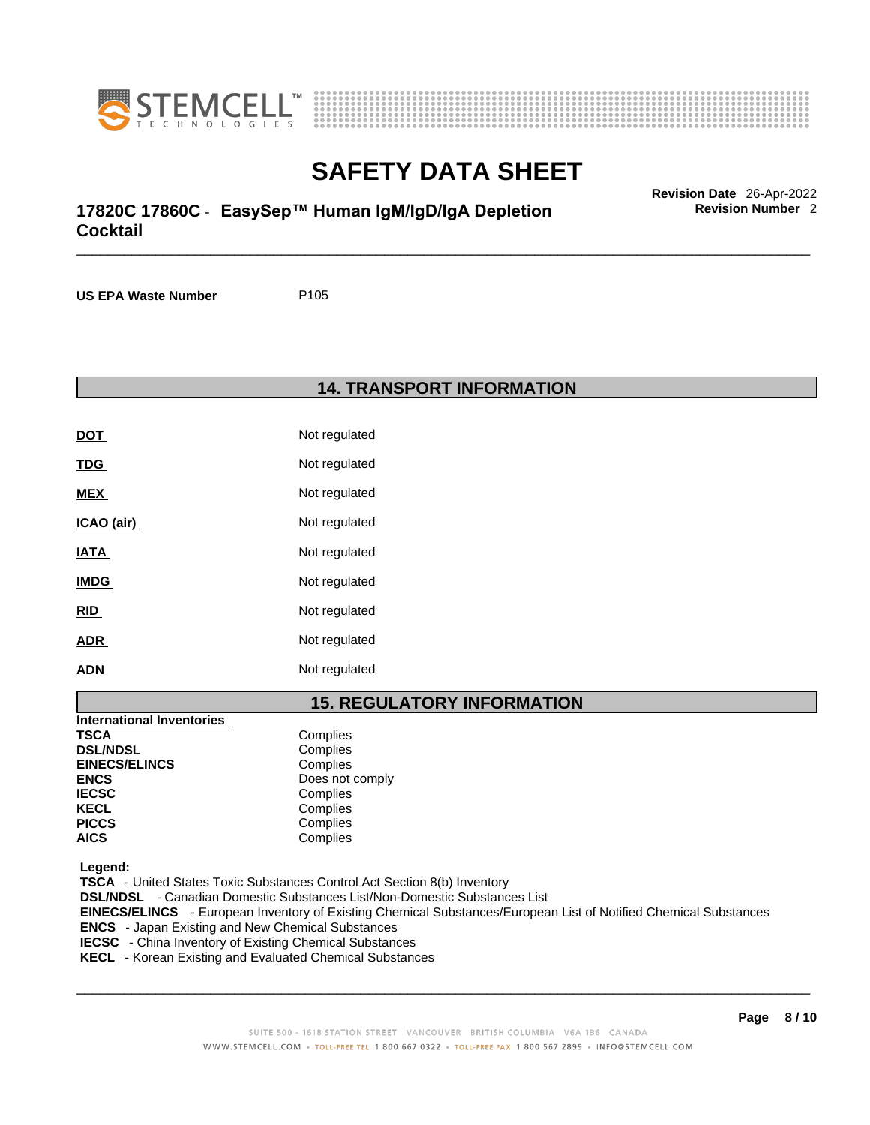



# \_\_\_\_\_\_\_\_\_\_\_\_\_\_\_\_\_\_\_\_\_\_\_\_\_\_\_\_\_\_\_\_\_\_\_\_\_\_\_\_\_\_\_\_\_\_\_\_\_\_\_\_\_\_\_\_\_\_\_\_\_\_\_\_\_\_\_\_\_\_\_\_\_\_\_\_\_\_\_\_\_\_\_\_\_\_\_\_\_\_\_\_\_ **Revision Date** 26-Apr-2022 **17820C 17860C** - **EasySep™ Human IgM/IgD/IgA Depletion Cocktail**

**US EPA Waste Number** P105

**14. TRANSPORT INFORMATION** 

| <b>DOT</b>  | Not regulated |
|-------------|---------------|
| <u>TDG</u>  | Not regulated |
| MEX         | Not regulated |
| ICAO (air)  | Not regulated |
| <u>IATA</u> | Not regulated |
| <b>IMDG</b> | Not regulated |
| <u>RID</u>  | Not regulated |
| <b>ADR</b>  | Not regulated |
| <b>ADN</b>  | Not regulated |

# **15. REGULATORY INFORMATION**

| <b>International Inventories</b> |                 |
|----------------------------------|-----------------|
| <b>TSCA</b>                      | Complies        |
| <b>DSL/NDSL</b>                  | Complies        |
| <b>EINECS/ELINCS</b>             | Complies        |
| <b>ENCS</b>                      | Does not comply |
| <b>IECSC</b>                     | Complies        |
| <b>KECL</b>                      | Complies        |
| <b>PICCS</b>                     | Complies        |
| <b>AICS</b>                      | Complies        |

 **Legend:** 

 **TSCA** - United States Toxic Substances Control Act Section 8(b) Inventory  **DSL/NDSL** - Canadian Domestic Substances List/Non-Domestic Substances List  **EINECS/ELINCS** - European Inventory of Existing Chemical Substances/European List of Notified Chemical Substances  **ENCS** - Japan Existing and New Chemical Substances  **IECSC** - China Inventory of Existing Chemical Substances  **KECL** - Korean Existing and Evaluated Chemical Substances

 $\_$  ,  $\_$  ,  $\_$  ,  $\_$  ,  $\_$  ,  $\_$  ,  $\_$  ,  $\_$  ,  $\_$  ,  $\_$  ,  $\_$  ,  $\_$  ,  $\_$  ,  $\_$  ,  $\_$  ,  $\_$  ,  $\_$  ,  $\_$  ,  $\_$  ,  $\_$  ,  $\_$  ,  $\_$  ,  $\_$  ,  $\_$  ,  $\_$  ,  $\_$  ,  $\_$  ,  $\_$  ,  $\_$  ,  $\_$  ,  $\_$  ,  $\_$  ,  $\_$  ,  $\_$  ,  $\_$  ,  $\_$  ,  $\_$  ,

**Revision Number** 2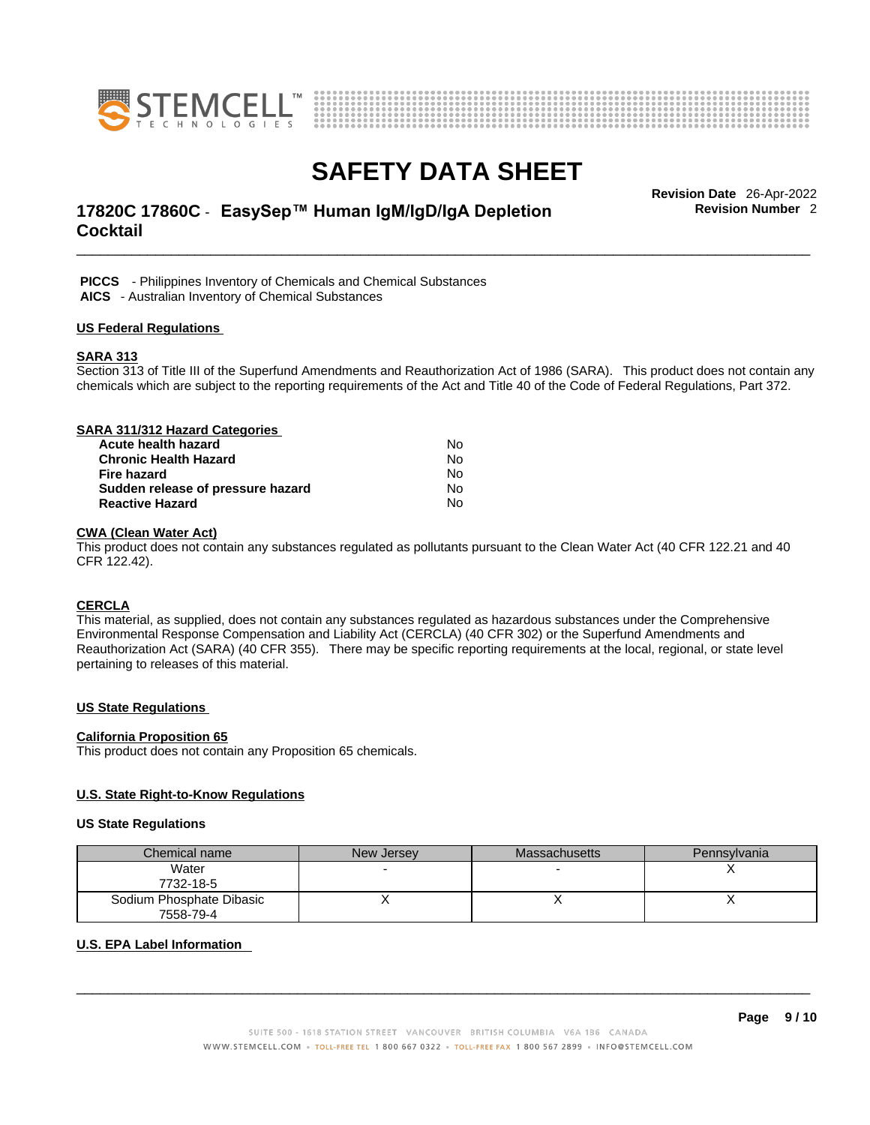



# \_\_\_\_\_\_\_\_\_\_\_\_\_\_\_\_\_\_\_\_\_\_\_\_\_\_\_\_\_\_\_\_\_\_\_\_\_\_\_\_\_\_\_\_\_\_\_\_\_\_\_\_\_\_\_\_\_\_\_\_\_\_\_\_\_\_\_\_\_\_\_\_\_\_\_\_\_\_\_\_\_\_\_\_\_\_\_\_\_\_\_\_\_ **Revision Date** 26-Apr-2022 **17820C 17860C** - **EasySep™ Human IgM/IgD/IgA Depletion Cocktail**

**Revision Number** 2

 **PICCS** - Philippines Inventory of Chemicals and Chemical Substances  **AICS** - Australian Inventory of Chemical Substances

#### **US Federal Regulations**

#### **SARA 313**

Section 313 of Title III of the Superfund Amendments and Reauthorization Act of 1986 (SARA). This product does not contain any chemicals which are subject to the reporting requirements of the Act and Title 40 of the Code of Federal Regulations, Part 372.

| SARA 311/312 Hazard Categories    |    |  |
|-----------------------------------|----|--|
| Acute health hazard               | N٥ |  |
| <b>Chronic Health Hazard</b>      | No |  |
| Fire hazard                       | No |  |
| Sudden release of pressure hazard | No |  |
| <b>Reactive Hazard</b>            | No |  |

### **CWA (Clean WaterAct)**

This product does not contain any substances regulated as pollutants pursuant to the Clean Water Act (40 CFR 122.21 and 40 CFR 122.42).

#### **CERCLA**

This material, as supplied, does not contain any substances regulated as hazardous substances under the Comprehensive Environmental Response Compensation and Liability Act (CERCLA) (40 CFR 302) or the Superfund Amendments and Reauthorization Act (SARA) (40 CFR 355). There may be specific reporting requirements at the local, regional, or state level pertaining to releases of this material.

#### **US State Regulations**

#### **California Proposition 65**

This product does not contain any Proposition 65 chemicals.

#### **U.S. State Right-to-Know Regulations**

#### **US State Regulations**

| Chemical name            | New Jersey | <b>Massachusetts</b> | Pennsylvania |
|--------------------------|------------|----------------------|--------------|
| Water                    |            |                      |              |
| 7732-18-5                |            |                      |              |
| Sodium Phosphate Dibasic |            |                      |              |
| 7558-79-4                |            |                      |              |

#### **U.S. EPA Label Information**